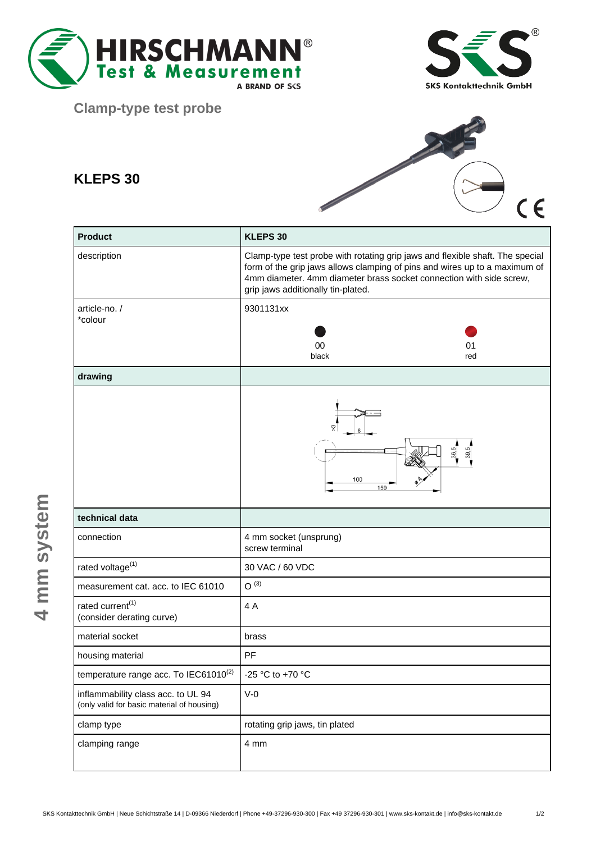



**Clamp-type test probe**

## **KLEPS 30**



| <b>Product</b>                                                                   | KLEPS 30                                                                                                                                                                                                                                                                 |
|----------------------------------------------------------------------------------|--------------------------------------------------------------------------------------------------------------------------------------------------------------------------------------------------------------------------------------------------------------------------|
| description                                                                      | Clamp-type test probe with rotating grip jaws and flexible shaft. The special<br>form of the grip jaws allows clamping of pins and wires up to a maximum of<br>4mm diameter. 4mm diameter brass socket connection with side screw,<br>grip jaws additionally tin-plated. |
| article-no./<br>*colour                                                          | 9301131xx<br>00<br>01<br>black<br>red                                                                                                                                                                                                                                    |
| drawing                                                                          |                                                                                                                                                                                                                                                                          |
|                                                                                  | $\frac{36.5}{2}$<br>39,5<br>100<br>159                                                                                                                                                                                                                                   |
| technical data                                                                   |                                                                                                                                                                                                                                                                          |
| connection                                                                       | 4 mm socket (unsprung)<br>screw terminal                                                                                                                                                                                                                                 |
| rated voltage <sup>(1)</sup>                                                     | 30 VAC / 60 VDC                                                                                                                                                                                                                                                          |
| measurement cat. acc. to IEC 61010                                               | $O^{(3)}$                                                                                                                                                                                                                                                                |
| rated current <sup>(1)</sup><br>(consider derating curve)                        | 4A                                                                                                                                                                                                                                                                       |
| material socket                                                                  | brass                                                                                                                                                                                                                                                                    |
| housing material                                                                 | PF                                                                                                                                                                                                                                                                       |
| temperature range acc. To IEC61010(2)                                            | -25 °C to +70 °C                                                                                                                                                                                                                                                         |
| inflammability class acc. to UL 94<br>(only valid for basic material of housing) | $V-0$                                                                                                                                                                                                                                                                    |
| clamp type                                                                       | rotating grip jaws, tin plated                                                                                                                                                                                                                                           |
| clamping range                                                                   | 4 mm                                                                                                                                                                                                                                                                     |